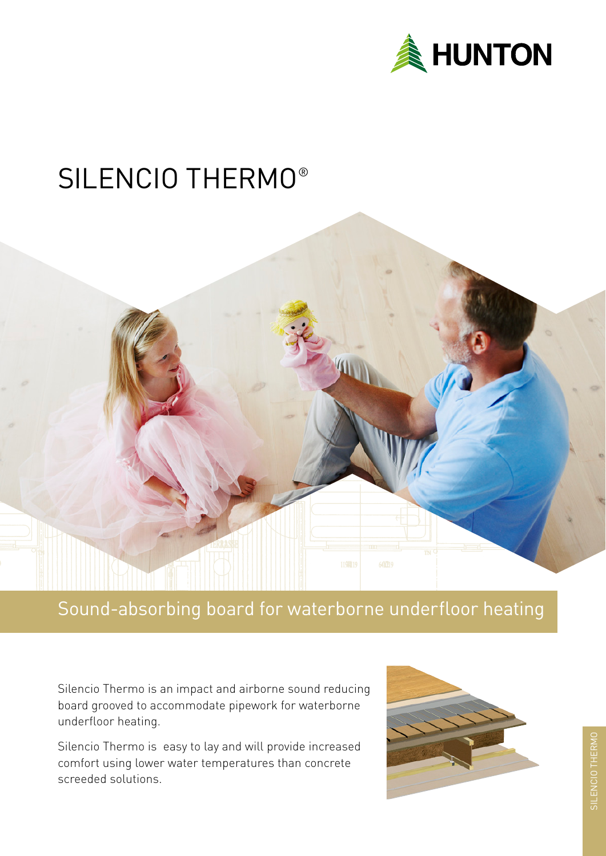

# SILENCIO THERMO®



### Sound-absorbing board for waterborne underfloor heating

Silencio Thermo is an impact and airborne sound reducing board grooved to accommodate pipework for waterborne underfloor heating.

Silencio Thermo is easy to lay and will provide increased comfort using lower water temperatures than concrete screeded solutions.